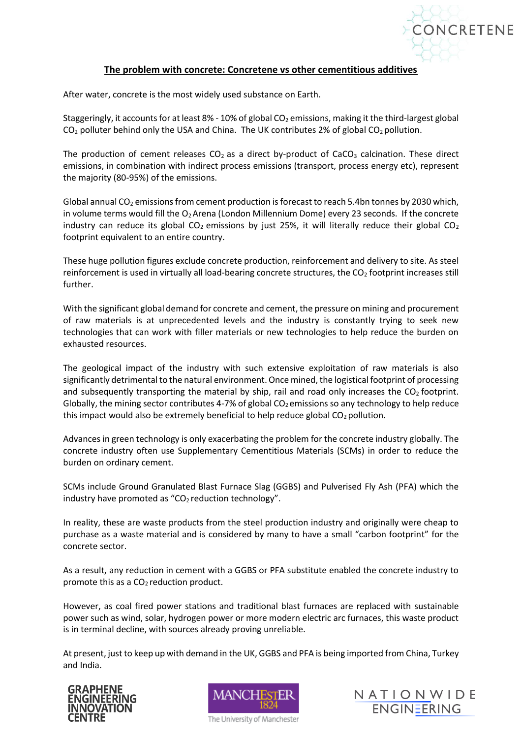

## **The problem with concrete: Concretene vs other cementitious additives**

After water, concrete is the most widely used substance on Earth.

Staggeringly, it accounts for at least 8% - 10% of global  $CO<sub>2</sub>$  emissions, making it the third-largest global  $CO<sub>2</sub>$  polluter behind only the USA and China. The UK contributes 2% of global  $CO<sub>2</sub>$  pollution.

The production of cement releases  $CO<sub>2</sub>$  as a direct by-product of CaCO<sub>3</sub> calcination. These direct emissions, in combination with indirect process emissions (transport, process energy etc), represent the majority (80-95%) of the emissions.

Global annual  $CO<sub>2</sub>$  emissions from cement production is forecast to reach 5.4bn tonnes by 2030 which, in volume terms would fill the  $O_2$  Arena (London Millennium Dome) every 23 seconds. If the concrete industry can reduce its global  $CO<sub>2</sub>$  emissions by just 25%, it will literally reduce their global  $CO<sub>2</sub>$ footprint equivalent to an entire country.

These huge pollution figures exclude concrete production, reinforcement and delivery to site. As steel reinforcement is used in virtually all load-bearing concrete structures, the CO<sub>2</sub> footprint increases still further.

With the significant global demand for concrete and cement, the pressure on mining and procurement of raw materials is at unprecedented levels and the industry is constantly trying to seek new technologies that can work with filler materials or new technologies to help reduce the burden on exhausted resources.

The geological impact of the industry with such extensive exploitation of raw materials is also significantly detrimental to the natural environment. Once mined, the logistical footprint of processing and subsequently transporting the material by ship, rail and road only increases the  $CO<sub>2</sub>$  footprint. Globally, the mining sector contributes 4-7% of global  $CO<sub>2</sub>$  emissions so any technology to help reduce this impact would also be extremely beneficial to help reduce global  $CO<sub>2</sub>$  pollution.

Advances in green technology is only exacerbating the problem for the concrete industry globally. The concrete industry often use Supplementary Cementitious Materials (SCMs) in order to reduce the burden on ordinary cement.

SCMs include Ground Granulated Blast Furnace Slag (GGBS) and Pulverised Fly Ash (PFA) which the industry have promoted as " $CO<sub>2</sub>$  reduction technology".

In reality, these are waste products from the steel production industry and originally were cheap to purchase as a waste material and is considered by many to have a small "carbon footprint" for the concrete sector.

As a result, any reduction in cement with a GGBS or PFA substitute enabled the concrete industry to promote this as a  $CO<sub>2</sub>$  reduction product.

However, as coal fired power stations and traditional blast furnaces are replaced with sustainable power such as wind, solar, hydrogen power or more modern electric arc furnaces, this waste product is in terminal decline, with sources already proving unreliable.

At present, just to keep up with demand in the UK, GGBS and PFA is being imported from China, Turkey and India.





The University of Manchester